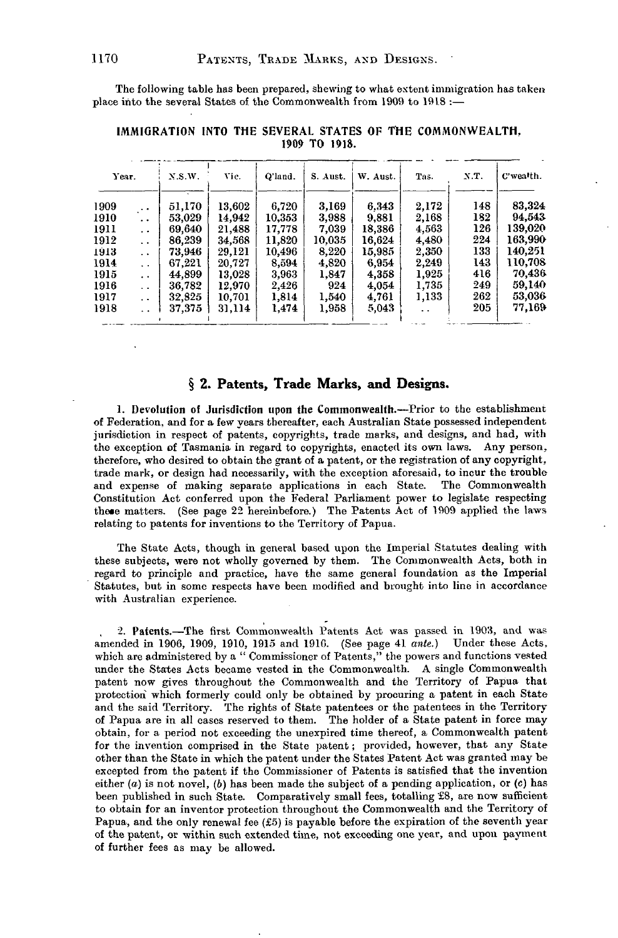The following table has been prepared, shewing to what extent immigration has taken place into the several States of the Commonwealth from 1909 to 1918 :-

| Year. |                      | X.S.W. | Vic.   | O'land. | S. Aust. | W. Aust. | Tas.  | X.T. | C'wealth. |
|-------|----------------------|--------|--------|---------|----------|----------|-------|------|-----------|
| 1909  | $\ddot{\phantom{0}}$ | 51,170 | 13,602 | 6,720   | 3.169    | 6.343    | 2,172 | 148  | 83,324    |
| 1910  | . .                  | 53,029 | 14.942 | 10,353  | 3,988    | 9,881    | 2.168 | 182  | 94.543    |
| 1911  | . .                  | 69,640 | 21,488 | 17.778  | 7.039    | 18,386   | 4,563 | 126  | 139,020   |
| 1912  | $\ddot{\phantom{a}}$ | 86,239 | 34,568 | 11,820  | 10,035   | 16,624   | 4,480 | 224  | 163,990   |
| 1913  | $\cdot$ .            | 73,946 | 29,121 | 10,496  | 8,220    | 15,985   | 2,350 | 133  | 140.251   |
| 1914  | $\ddot{\phantom{a}}$ | 67.221 | 20,727 | 8.594   | 4.820    | 6.954    | 2,249 | 143  | 110,708   |
| 1915  | $\cdot$ .            | 44,899 | 13,028 | 3,963   | 1,847    | 4,358    | 1,925 | 416  | 70,436    |
| 1916  | . .                  | 36,782 | 12.970 | 2.426   | 924      | 4,054    | 1,735 | 249  | 59.140    |
| 1917  | . .                  | 32,825 | 10,701 | 1,814   | 1,540    | 4,761    | 1,133 | 262  | 53,036    |
| 1918  | . .                  | 37,375 | 31.114 | 1.474   | 1,958    | 5,043    | . .   | 205  | 77,169    |

**IMMIGRATION INTO THE SEVERAL STATES OF THE COMMONWEALTH.** 1909 TO 1918.

## **§ 2. Patents, Trade Marks, and Designs.**

1. Devolution of Jurisdiction upon the Commonwealth.—Prior to the establishment of Federation, and for a few years thereafter, each Australian State possessed independent jurisdiction in respect of patents, copyrights, trade marks, and designs, and had, with the exception of Tasmania in regard to copyrights, enacted its own laws. Any person, therefore, who desired to obtain the grant of a patent, or the registration of any copyright, trade mark, or design had necessarily, with the exception aforesaid, to incur the trouble and expense of making separate applications in each State. The Commonwealth Constitution Act conferred upon the Federal Parliament power to legislate respecting these matters. (See page 22 hereinbefore.) The Patents Act of 1909 applied the laws relating to patents for inventions to the Territory of Papua.

The State Acts, though in general based upon the Imperial Statutes dealing with these subjects, were not wholly governed by them. The Commonwealth Acts, both in regard to principle and practice, have the same general foundation as the Imperial Statutes, but in some respects have been modified and brought into line in accordance with Australian experience.

2. Patents.—The first Commonwealth Patents Act was passed in 1903, and was amended in 1906, 1909, 1910, 1915 and 1910. (See page 41 *ante.)* Under these Acts, which are administered by a "Commissioner of Patents," the powers and functions vested under the States Acts became vested in the Commonwealth. A single Commonwealth patent now gives throughout the Commonwealth and the Territory of Papua that protection which formerly could only be obtained by procuring a patent in each State and the said Territory. The rights of State patentees or the patentees in the Territory of Papua are in all cases reserved to them. The holder of a State patent in force may obtain, for a period not exceeding the unexpired time thereof, a Commonwealth patent for the invention comprised in the State patent; provided, however, that any State other than the State in which the patent under the States Patent Act was granted may be excepted from the patent if the Commissioner of Patents is satisfied that the invention either *(a)* is not novel, *(b)* has been made the subject of a pending application, or (c) has been published in such State. Comparatively small fees, totalling £8, are now sufficient to obtain for an inventor protection throughout the Commonwealth and the Territory of Papua, and the only renewal fee (£5) is payable before the expiration of the seventh year of the patent, or within such extended time, not exceeding one year, and upon payment of further fees as may be allowed.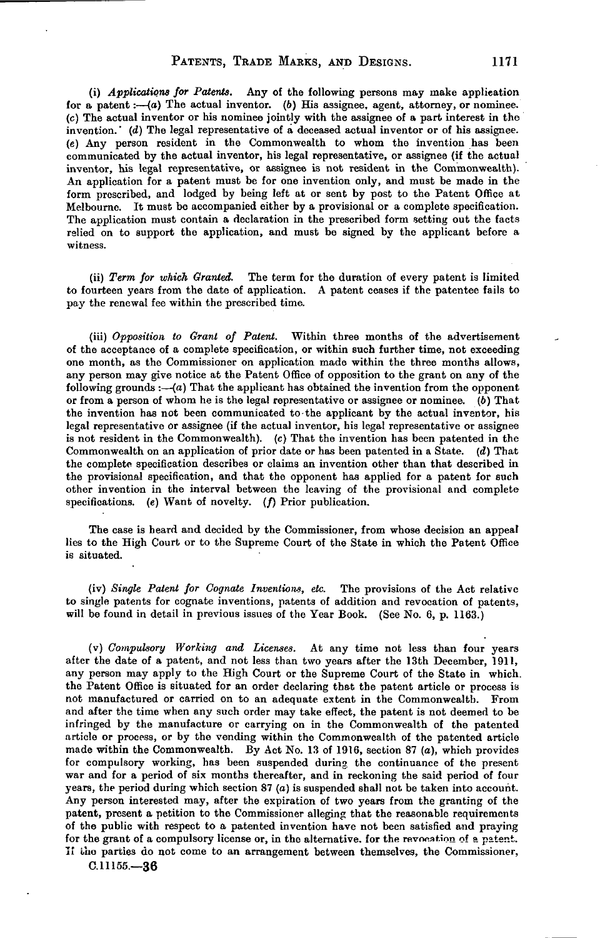(i) *Applications for Patents.* Any of the following persons may make application for a patent:— $(a)$  The actual inventor. (b) His assignee, agent, attorney, or nominee. (c) The actual inventor or his nominee jointly with the assignee of a part interest in the invention.' *(d)* The legal representative of a deceased actual inventor or of his assignee. *(e)* Any person resident in the Commonwealth to whom the invention has been communicated by the actual inventor, his legal representative, or assignee (if the actual inventor, his legal representative, or assignee is not resident in the Commonwealth). An application for a patent must be for one invention only, and must be made in the form prescribed, and lodged by being left at or sent by post to the Patent Office at Melbourne. It must be accompanied either by a provisional or a complete specification. The application must contain a declaration in the prescribed form setting out the facts relied on to support the application, and must be signed by the applicant before a witness.

(ii) *Term for which Granted.* The term for the duration of every patent is limited to fourteen years from the date of application. A patent ceases if the patentee fails to pay the renewal fee within the prescribed time.

(iii) *Opposition to Grant of Patent.* Within three months of the advertisement of the acceptance of a complete specification, or within such further time, not exceeding one month, as the Commissioner on application made within the three months allows, any person may give notice at the Patent Office of opposition to the grant on any of the following grounds  $:-(a)$  That the applicant has obtained the invention from the opponent or from a person of whom he is the legal representative or assignee or nominee. (6) That the invention has not been communicated to-the applicant by the actual inventor, bis legal representative or assignee (if the actual inventor, his legal representative or assignee is not resident in the Commonwealth), (c) That the invention has been patented in the Commonwealth on an application of prior date or has been patented in a State, *(d)* That the complete specification describes or claims an invention other than that described in the provisional specification, and that the opponent has applied for a patent for such other invention in the interval between the leaving of the provisional and complete specifications. (e) Want of novelty. (f) Prior publication.

The case is heard and decided by the Commissioner, from whose decision an appeal lies to the High Court or to the Supreme Court of the State in which the Patent Office is situated.

(iv) *Single Patent for Cognate Inventions, etc.* The provisions of the Act relative to single patents for cognate inventions, patents of addition and revocation of patents, will be found in detail in previous issues of the Year Book. (See No. 6, p. 1163.)

(v) *Compulsory Working and Licenses.* At any time not less than four years after the date of a patent, and not less than two years after the 13th December, 1911, any person may apply to the High Court or the Supreme Court of the State in which, the Patent Office is situated for an order declaring that the patent article or process is not manufactured or carried on to an adequate extent in the Commonwealth. From and after the time when any such order may take effect, the patent is not deemed to be infringed by the manufacture or carrying on in the Commonwealth of the patented article or process, or by the vending within the Commonwealth of the patented article made within the Commonwealth. By Act No. 13 of 1916, section 87 (a), which provides for compulsory working, has been suspended during the continuance of the present war and for a period of six months thereafter, and in reckoning the said period of four years, the period during which section  $87(a)$  is suspended shall not be taken into account. Any person interested may, after the expiration of two years from the granting of the patent, present a petition to the Commissioner alleging that the reasonable requirements of the public with respect to a patented invention have not been satisfied and praying for the grant of a compulsory license or, in the alternative, for the revocation of a patent. If the parties do not come to an arrangement between themselves, the Commissioner,

C.11155.—36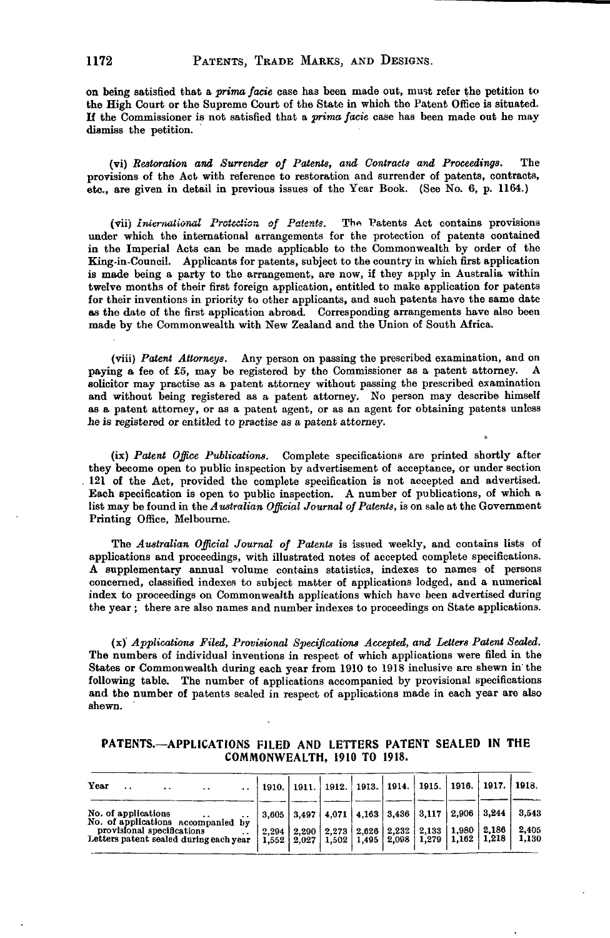on being satisfied that a *prima facie* case has been made out, must refer the petition to the High Court or the Supreme Court of the State in which the Patent Office is situated. If the Commissioner is not satisfied that a *prima facie* case has been made out he may dismiss the petition.

(vi) *Restoration and Surrender of Patents, and Contracts and Proceedings.* The provisions of the Act with reference to restoration and surrender of patents, contracts, etc., are given in detail in previous issues of the Year Book. (See No. 6, p. 1164.)

(vii) *International Protection of Patents*. The Patents Act contains provisions under which the international arrangements for the protection of patents contained in the Imperial Acts can be made applicable to the Commonwealth by order of the King-in-Council. Applicants for patents, subject to the country in which first application is made being a party to the arrangement, are now, if they apply in Australia within twelve months of their first foreign application, entitled to make application for patents for their inventions in priority to other applicants, and such patents have the same date as the date of the first application abroad. Corresponding arrangements have also been made by the Commonwealth with New Zealand and the Union of South Africa.

(viii) *Patent Attorneys.* Any person on passing the prescribed examination, and on paying a fee of £5, may be registered by the Commissioner as a patent attorney. A solicitor may practise as a patent attorney without passing the prescribed examination and without being registered as a patent attorney. No person may describe himself as a patent attorney, or as a patent agent, or as an agent for obtaining patents unless he is registered or entitled to practise as a patent attorney.

(ix) *Patent Office Publications.* Complete specifications are printed shortly after they become open to public inspection by advertisement of acceptance, or under section . 121 of the Act, provided the complete specification is not accepted and advertised. Each specification is open to public inspection. A number of publications, of which a list may be found in the *Australian Official Journal of Patents,* is on sale at the Government Printing Office, Melbourne.

The *Australian Official Journal of Patents* is issued weekly, and contains lists of applications and proceedings, with illustrated notes of accepted complete specifications. A supplementary annual volume contains statistics, indexes to names of persons concerned, classified indexes to subject matter of applications lodged, and a numerical index to proceedings on Commonwealth applications which have been advertised during the year ; there are also names and number indexes to proceedings on State applications.

(x)' *Applications Filed, Provisional Specifications Accepted, and Letters Patent Sealed.* The numbers of individual inventions in respect of which applications were filed in the States or Commonwealth during each year from 1910 to 1918 inclusive are shewn in'the following table. The number of applications accompanied by provisional specifications and the number of patents sealed in respect of applications made in each year are also shewn.

| PATENTS.--- APPLICATIONS FILED AND LETTERS PATENT SEALED IN THE |  |                             |  |  |
|-----------------------------------------------------------------|--|-----------------------------|--|--|
|                                                                 |  | COMMONWEALTH, 1910 TO 1918. |  |  |

| Year<br>$\cdot$ .<br>$\cdots$<br>$\cdots$<br>$\ddot{\phantom{0}}$                        | 1910. |  |  |  | 1911.   1912.   1913.   1914.   1915.   1916.   1917.   1918.                                                                            |                |
|------------------------------------------------------------------------------------------|-------|--|--|--|------------------------------------------------------------------------------------------------------------------------------------------|----------------|
| No. of applications<br>$\cdots$<br>$\cdot$ $\cdot$<br>No. of applications accompanied by | 3.605 |  |  |  | $3,497$   4,071   4,163   3,436   3,117   2,906   3,244                                                                                  | 3.543          |
| provisional specifications<br>Letters patent sealed during each year                     | 2.294 |  |  |  | $2,290$   2,273   2,626   2,232   2,133   1,980   2,186<br>$1,552$   $2,027$   $1,502$   $1,495$   $2,098$   $1,279$   $1,162$   $1,218$ | 2,405<br>1,130 |
|                                                                                          |       |  |  |  |                                                                                                                                          |                |